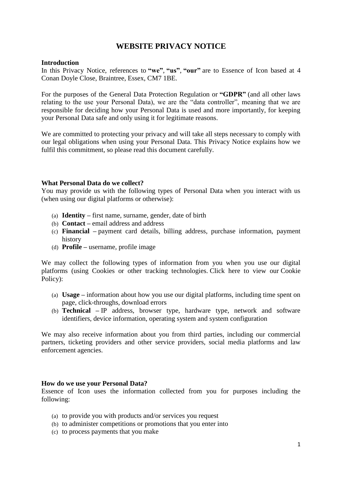# **WEBSITE PRIVACY NOTICE**

#### **Introduction**

In this Privacy Notice, references to **"we"**, **"us"**, **"our"** are to Essence of Icon based at 4 Conan Doyle Close, Braintree, Essex, CM7 1BE.

For the purposes of the General Data Protection Regulation or **"GDPR"** (and all other laws relating to the use your Personal Data), we are the "data controller", meaning that we are responsible for deciding how your Personal Data is used and more importantly, for keeping your Personal Data safe and only using it for legitimate reasons.

We are committed to protecting your privacy and will take all steps necessary to comply with our legal obligations when using your Personal Data. This Privacy Notice explains how we fulfil this commitment, so please read this document carefully.

## **What Personal Data do we collect?**

You may provide us with the following types of Personal Data when you interact with us (when using our digital platforms or otherwise):

- (a) **Identity –** first name, surname, gender, date of birth
- (b) **Contact –** email address and address
- (c) **Financial –** payment card details, billing address, purchase information, payment history
- (d) **Profile –** username, profile image

We may collect the following types of information from you when you use our digital platforms (using Cookies or other tracking technologies. [Click here to view our](https://www.whufc.com/footer/pages/cookie-policy) Cookie [Policy\)](https://www.whufc.com/footer/pages/cookie-policy):

- (a) **Usage –** information about how you use our digital platforms, including time spent on page, click-throughs, download errors
- (b) **Technical –** IP address, browser type, hardware type, network and software identifiers, device information, operating system and system configuration

We may also receive information about you from third parties, including our commercial partners, ticketing providers and other service providers, social media platforms and law enforcement agencies.

#### **How do we use your Personal Data?**

Essence of Icon uses the information collected from you for purposes including the following:

- (a) to provide you with products and/or services you request
- (b) to administer competitions or promotions that you enter into
- (c) to process payments that you make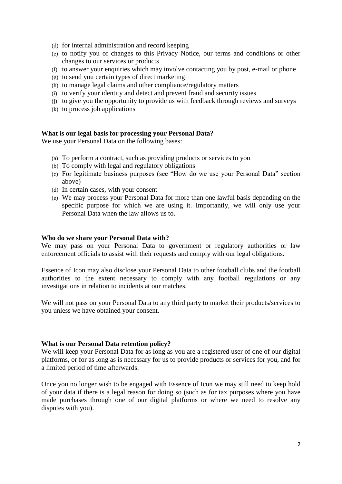- (d) for internal administration and record keeping
- (e) to notify you of changes to this Privacy Notice, our terms and conditions or other changes to our services or products
- (f) to answer your enquiries which may involve contacting you by post, e-mail or phone
- (g) to send you certain types of direct marketing
- (h) to manage legal claims and other compliance/regulatory matters
- (i) to verify your identity and detect and prevent fraud and security issues
- (j) to give you the opportunity to provide us with feedback through reviews and surveys
- (k) to process job applications

## **What is our legal basis for processing your Personal Data?**

We use your Personal Data on the following bases:

- (a) To perform a contract, such as providing products or services to you
- (b) To comply with legal and regulatory obligations
- (c) For legitimate business purposes (see "How do we use your Personal Data" section above)
- (d) In certain cases, with your consent
- (e) We may process your Personal Data for more than one lawful basis depending on the specific purpose for which we are using it. Importantly, we will only use your Personal Data when the law allows us to.

#### **Who do we share your Personal Data with?**

We may pass on your Personal Data to government or regulatory authorities or law enforcement officials to assist with their requests and comply with our legal obligations.

Essence of Icon may also disclose your Personal Data to other football clubs and the football authorities to the extent necessary to comply with any football regulations or any investigations in relation to incidents at our matches.

We will not pass on your Personal Data to any third party to market their products/services to you unless we have obtained your consent.

## **What is our Personal Data retention policy?**

We will keep your Personal Data for as long as you are a registered user of one of our digital platforms, or for as long as is necessary for us to provide products or services for you, and for a limited period of time afterwards.

Once you no longer wish to be engaged with Essence of Icon we may still need to keep hold of your data if there is a legal reason for doing so (such as for tax purposes where you have made purchases through one of our digital platforms or where we need to resolve any disputes with you).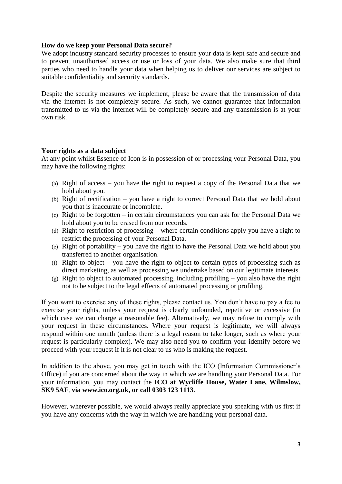# **How do we keep your Personal Data secure?**

We adopt industry standard security processes to ensure your data is kept safe and secure and to prevent unauthorised access or use or loss of your data. We also make sure that third parties who need to handle your data when helping us to deliver our services are subject to suitable confidentiality and security standards.

Despite the security measures we implement, please be aware that the transmission of data via the internet is not completely secure. As such, we cannot guarantee that information transmitted to us via the internet will be completely secure and any transmission is at your own risk.

# **Your rights as a data subject**

At any point whilst Essence of Icon is in possession of or processing your Personal Data, you may have the following rights:

- (a) Right of access you have the right to request a copy of the Personal Data that we hold about you.
- (b) Right of rectification you have a right to correct Personal Data that we hold about you that is inaccurate or incomplete.
- (c) Right to be forgotten in certain circumstances you can ask for the Personal Data we hold about you to be erased from our records.
- (d) Right to restriction of processing where certain conditions apply you have a right to restrict the processing of your Personal Data.
- (e) Right of portability you have the right to have the Personal Data we hold about you transferred to another organisation.
- (f) Right to object you have the right to object to certain types of processing such as direct marketing, as well as processing we undertake based on our legitimate interests.
- (g) Right to object to automated processing, including profiling you also have the right not to be subject to the legal effects of automated processing or profiling.

If you want to exercise any of these rights, please contact us. You don't have to pay a fee to exercise your rights, unless your request is clearly unfounded, repetitive or excessive (in which case we can charge a reasonable fee). Alternatively, we may refuse to comply with your request in these circumstances. Where your request is legitimate, we will always respond within one month (unless there is a legal reason to take longer, such as where your request is particularly complex). We may also need you to confirm your identify before we proceed with your request if it is not clear to us who is making the request.

In addition to the above, you may get in touch with the ICO (Information Commissioner's Office) if you are concerned about the way in which we are handling your Personal Data. For your information, you may contact the **ICO at Wycliffe House, Water Lane, Wilmslow, SK9 5AF**, **via [www.ico.org.uk,](http://www.ico.org.uk/) or call 0303 123 1113**.

However, wherever possible, we would always really appreciate you speaking with us first if you have any concerns with the way in which we are handling your personal data.